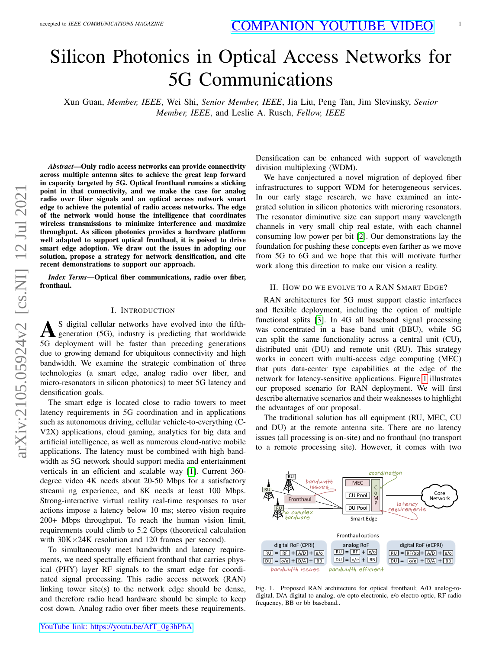# Silicon Photonics in Optical Access Networks for 5G Communications

Xun Guan, *Member, IEEE*, Wei Shi, *Senior Member, IEEE*, Jia Liu, Peng Tan, Jim Slevinsky, *Senior Member, IEEE*, and Leslie A. Rusch, *Fellow, IEEE*

arXiv:2105.05924v2 [cs.NI] 12 Jul 2021 arXiv:2105.05924v2 [cs.NI] 12 Jul 2021

*Abstract*—Only radio access networks can provide connectivity across multiple antenna sites to achieve the great leap forward in capacity targeted by 5G. Optical fronthaul remains a sticking point in that connectivity, and we make the case for analog radio over fiber signals and an optical access network smart edge to achieve the potential of radio access networks. The edge of the network would house the intelligence that coordinates wireless transmissions to minimize interference and maximize throughput. As silicon photonics provides a hardware platform well adapted to support optical fronthaul, it is poised to drive smart edge adoption. We draw out the issues in adopting our solution, propose a strategy for network densification, and cite recent demonstrations to support our approach.

*Index Terms*—Optical fiber communications, radio over fiber, fronthaul.

#### I. INTRODUCTION

A S digital cellular networks have evolved into the fifthgeneration (5G), industry is predicting that worldwide 5G deployment will be faster than preceding generations due to growing demand for ubiquitous connectivity and high bandwidth. We examine the strategic combination of three technologies (a smart edge, analog radio over fiber, and micro-resonators in silicon photonics) to meet 5G latency and densification goals.

The smart edge is located close to radio towers to meet latency requirements in 5G coordination and in applications such as autonomous driving, cellular vehicle-to-everything (C-V2X) applications, cloud gaming, analytics for big data and artificial intelligence, as well as numerous cloud-native mobile applications. The latency must be combined with high bandwidth as 5G network should support media and entertainment verticals in an efficient and scalable way [\[1\]](#page-5-0). Current 360 degree video 4K needs about 20-50 Mbps for a satisfactory streami ng experience, and 8K needs at least 100 Mbps. Strong-interactive virtual reality real-time responses to user actions impose a latency below 10 ms; stereo vision require 200+ Mbps throughput. To reach the human vision limit, requirements could climb to 5.2 Gbps (theoretical calculation with  $30K \times 24K$  resolution and 120 frames per second).

To simultaneously meet bandwidth and latency requirements, we need spectrally efficient fronthaul that carries physical (PHY) layer RF signals to the smart edge for coordinated signal processing. This radio access network (RAN) linking tower site(s) to the network edge should be dense, and therefore radio head hardware should be simple to keep cost down. Analog radio over fiber meets these requirements.

Densification can be enhanced with support of wavelength division multiplexing (WDM).

We have conjectured a novel migration of deployed fiber infrastructures to support WDM for heterogeneous services. In our early stage research, we have examined an integrated solution in silicon photonics with microring resonators. The resonator diminutive size can support many wavelength channels in very small chip real estate, with each channel consuming low power per bit [\[2\]](#page-5-1). Our demonstrations lay the foundation for pushing these concepts even farther as we move from 5G to 6G and we hope that this will motivate further work along this direction to make our vision a reality.

## II. HOW DO WE EVOLVE TO A RAN SMART EDGE?

RAN architectures for 5G must support elastic interfaces and flexible deployment, including the option of multiple functional splits [\[3\]](#page-5-2). In 4G all baseband signal processing was concentrated in a base band unit (BBU), while 5G can split the same functionality across a central unit (CU), distributed unit (DU) and remote unit (RU). This strategy works in concert with multi-access edge computing (MEC) that puts data-center type capabilities at the edge of the network for latency-sensitive applications. Figure [1](#page-0-0) illustrates our proposed scenario for RAN deployment. We will first describe alternative scenarios and their weaknesses to highlight the advantages of our proposal.

The traditional solution has all equipment (RU, MEC, CU and DU) at the remote antenna site. There are no latency issues (all processing is on-site) and no fronthaul (no transport to a remote processing site). However, it comes with two



<span id="page-0-0"></span>Fig. 1. Proposed RAN architecture for optical fronthaul; A/D analog-todigital, D/A digital-to-analog, o/e opto-electronic, e/o electro-optic, RF radio frequency, BB or bb baseband..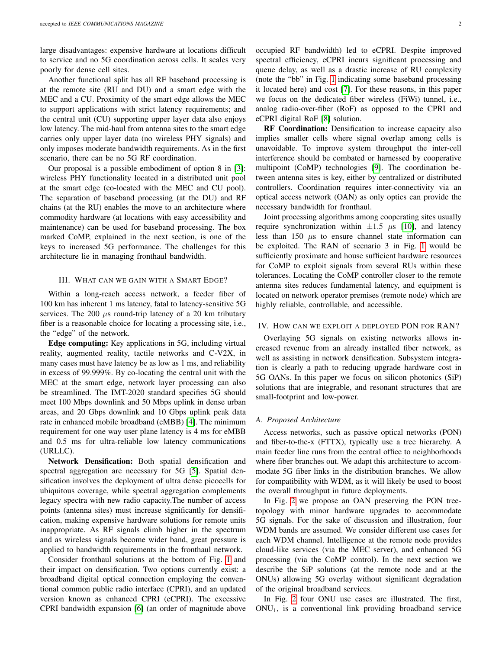large disadvantages: expensive hardware at locations difficult to service and no 5G coordination across cells. It scales very poorly for dense cell sites.

Another functional split has all RF baseband processing is at the remote site (RU and DU) and a smart edge with the MEC and a CU. Proximity of the smart edge allows the MEC to support applications with strict latency requirements; and the central unit (CU) supporting upper layer data also enjoys low latency. The mid-haul from antenna sites to the smart edge carries only upper layer data (no wireless PHY signals) and only imposes moderate bandwidth requirements. As in the first scenario, there can be no 5G RF coordination.

Our proposal is a possible embodiment of option 8 in [\[3\]](#page-5-2): wireless PHY functionality located in a distributed unit pool at the smart edge (co-located with the MEC and CU pool). The separation of baseband processing (at the DU) and RF chains (at the RU) enables the move to an architecture where commodity hardware (at locations with easy accessibility and maintenance) can be used for baseband processing. The box marked CoMP, explained in the next section, is one of the keys to increased 5G performance. The challenges for this architecture lie in managing fronthaul bandwidth.

## III. WHAT CAN WE GAIN WITH A SMART EDGE?

Within a long-reach access network, a feeder fiber of 100 km has inherent 1 ms latency, fatal to latency-sensitive 5G services. The 200  $\mu$ s round-trip latency of a 20 km tributary fiber is a reasonable choice for locating a processing site, i.e., the "edge" of the network.

Edge computing: Key applications in 5G, including virtual reality, augmented reality, tactile networks and C-V2X, in many cases must have latency be as low as 1 ms, and reliability in excess of 99.999%. By co-locating the central unit with the MEC at the smart edge, network layer processing can also be streamlined. The IMT-2020 standard specifies 5G should meet 100 Mbps downlink and 50 Mbps uplink in dense urban areas, and 20 Gbps downlink and 10 Gbps uplink peak data rate in enhanced mobile broadband (eMBB) [\[4\]](#page-5-3). The minimum requirement for one way user plane latency is 4 ms for eMBB and 0.5 ms for ultra-reliable low latency communications (URLLC).

Network Densification: Both spatial densification and spectral aggregation are necessary for 5G [\[5\]](#page-5-4). Spatial densification involves the deployment of ultra dense picocells for ubiquitous coverage, while spectral aggregation complements legacy spectra with new radio capacity.The number of access points (antenna sites) must increase significantly for densification, making expensive hardware solutions for remote units inappropriate. As RF signals climb higher in the spectrum and as wireless signals become wider band, great pressure is applied to bandwidth requirements in the fronthaul network.

Consider fronthaul solutions at the bottom of Fig. [1](#page-0-0) and their impact on densification. Two options currently exist: a broadband digital optical connection employing the conventional common public radio interface (CPRI), and an updated version known as enhanced CPRI (eCPRI). The excessive CPRI bandwidth expansion [\[6\]](#page-5-5) (an order of magnitude above occupied RF bandwidth) led to eCPRI. Despite improved spectral efficiency, eCPRI incurs significant processing and queue delay, as well as a drastic increase of RU complexity (note the "bb" in Fig. [1](#page-0-0) indicating some baseband processing it located here) and cost [\[7\]](#page-5-6). For these reasons, in this paper we focus on the dedicated fiber wireless (FiWi) tunnel, i.e., analog radio-over-fiber (RoF) as opposed to the CPRI and eCPRI digital RoF [\[8\]](#page-5-7) solution.

RF Coordination: Densification to increase capacity also implies smaller cells where signal overlap among cells is unavoidable. To improve system throughput the inter-cell interference should be combated or harnessed by cooperative multipoint (CoMP) technologies [\[9\]](#page-5-8). The coordination between antenna sites is key, either by centralized or distributed controllers. Coordination requires inter-connectivity via an optical access network (OAN) as only optics can provide the necessary bandwidth for fronthaul.

Joint processing algorithms among cooperating sites usually require synchronization within  $\pm 1.5$   $\mu$ s [\[10\]](#page-5-9), and latency less than 150  $\mu$ s to ensure channel state information can be exploited. The RAN of scenario 3 in Fig. [1](#page-0-0) would be sufficiently proximate and house sufficient hardware resources for CoMP to exploit signals from several RUs within these tolerances. Locating the CoMP controller closer to the remote antenna sites reduces fundamental latency, and equipment is located on network operator premises (remote node) which are highly reliable, controllable, and accessible.

## IV. HOW CAN WE EXPLOIT A DEPLOYED PON FOR RAN?

Overlaying 5G signals on existing networks allows increased revenue from an already installed fiber network, as well as assisting in network densification. Subsystem integration is clearly a path to reducing upgrade hardware cost in 5G OANs. In this paper we focus on silicon photonics (SiP) solutions that are integrable, and resonant structures that are small-footprint and low-power.

## *A. Proposed Architecture*

Access networks, such as passive optical networks (PON) and fiber-to-the-x (FTTX), typically use a tree hierarchy. A main feeder line runs from the central office to neighborhoods where fiber branches out. We adapt this architecture to accommodate 5G fiber links in the distribution branches. We allow for compatibility with WDM, as it will likely be used to boost the overall throughput in future deployments.

In Fig. [2](#page-2-0) we propose an OAN preserving the PON treetopology with minor hardware upgrades to accommodate 5G signals. For the sake of discussion and illustration, four WDM bands are assumed. We consider different use cases for each WDM channel. Intelligence at the remote node provides cloud-like services (via the MEC server), and enhanced 5G processing (via the CoMP control). In the next section we describe the SiP solutions (at the remote node and at the ONUs) allowing 5G overlay without significant degradation of the original broadband services.

In Fig. [2](#page-2-0) four ONU use cases are illustrated. The first,  $ONU<sub>1</sub>$ , is a conventional link providing broadband service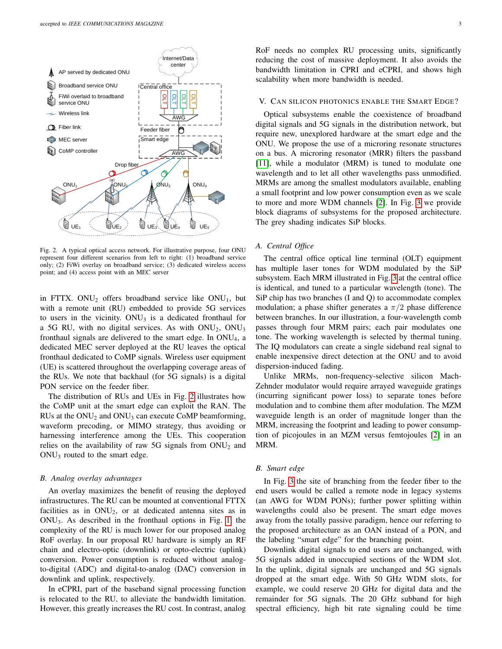

<span id="page-2-0"></span>Fig. 2. A typical optical access network. For illustrative purpose, four ONU represent four different scenarios from left to right: (1) broadband service only; (2) FiWi overlay on broadband service; (3) dedicated wireless access point; and (4) access point with an MEC server

in FTTX. ONU<sub>2</sub> offers broadband service like  $ONU_1$ , but with a remote unit (RU) embedded to provide 5G services to users in the vicinity.  $ONU_3$  is a dedicated fronthaul for a 5G RU, with no digital services. As with  $ONU_2$ ,  $ONU_3$ fronthaul signals are delivered to the smart edge. In  $ONU<sub>4</sub>$ , a dedicated MEC server deployed at the RU leaves the optical fronthaul dedicated to CoMP signals. Wireless user equipment (UE) is scattered throughout the overlapping coverage areas of the RUs. We note that backhaul (for 5G signals) is a digital PON service on the feeder fiber.

The distribution of RUs and UEs in Fig. [2](#page-2-0) illustrates how the CoMP unit at the smart edge can exploit the RAN. The RUs at the  $ONU<sub>2</sub>$  and  $ONU<sub>3</sub>$  can execute CoMP beamforming, waveform precoding, or MIMO strategy, thus avoiding or harnessing interference among the UEs. This cooperation relies on the availability of raw 5G signals from  $ONU<sub>2</sub>$  and ONU<sup>3</sup> routed to the smart edge.

#### *B. Analog overlay advantages*

An overlay maximizes the benefit of reusing the deployed infrastructures. The RU can be mounted at conventional FTTX facilities as in  $ONU<sub>2</sub>$ , or at dedicated antenna sites as in ONU3. As described in the fronthaul options in Fig. [1,](#page-0-0) the complexity of the RU is much lower for our proposed analog RoF overlay. In our proposal RU hardware is simply an RF chain and electro-optic (downlink) or opto-electric (uplink) conversion. Power consumption is reduced without analogto-digital (ADC) and digital-to-analog (DAC) conversion in downlink and uplink, respectively.

In eCPRI, part of the baseband signal processing function is relocated to the RU, to alleviate the bandwidth limitation. However, this greatly increases the RU cost. In contrast, analog RoF needs no complex RU processing units, significantly reducing the cost of massive deployment. It also avoids the bandwidth limitation in CPRI and eCPRI, and shows high scalability when more bandwidth is needed.

#### V. CAN SILICON PHOTONICS ENABLE THE SMART EDGE?

Optical subsystems enable the coexistence of broadband digital signals and 5G signals in the distribution network, but require new, unexplored hardware at the smart edge and the ONU. We propose the use of a microring resonate structures on a bus. A microring resonator (MRR) filters the passband [\[11\]](#page-5-10), while a modulator (MRM) is tuned to modulate one wavelength and to let all other wavelengths pass unmodified. MRMs are among the smallest modulators available, enabling a small footprint and low power consumption even as we scale to more and more WDM channels [\[2\]](#page-5-1). In Fig. [3](#page-3-0) we provide block diagrams of subsystems for the proposed architecture. The grey shading indicates SiP blocks.

#### *A. Central Office*

The central office optical line terminal (OLT) equipment has multiple laser tones for WDM modulated by the SiP subsystem. Each MRM illustrated in Fig. [3](#page-3-0) at the central office is identical, and tuned to a particular wavelength (tone). The SiP chip has two branches (I and Q) to accommodate complex modulation; a phase shifter generates a  $\pi/2$  phase difference between branches. In our illustration, a four-wavelength comb passes through four MRM pairs; each pair modulates one tone. The working wavelength is selected by thermal tuning. The IQ modulators can create a single sideband real signal to enable inexpensive direct detection at the ONU and to avoid dispersion-induced fading.

Unlike MRMs, non-frequency-selective silicon Mach-Zehnder modulator would require arrayed waveguide gratings (incurring significant power loss) to separate tones before modulation and to combine them after modulation. The MZM waveguide length is an order of magnitude longer than the MRM, increasing the footprint and leading to power consumption of picojoules in an MZM versus femtojoules [\[2\]](#page-5-1) in an MRM.

## *B. Smart edge*

In Fig. [3](#page-3-0) the site of branching from the feeder fiber to the end users would be called a remote node in legacy systems (an AWG for WDM PONs); further power splitting within wavelengths could also be present. The smart edge moves away from the totally passive paradigm, hence our referring to the proposed architecture as an OAN instead of a PON, and the labeling "smart edge" for the branching point.

Downlink digital signals to end users are unchanged, with 5G signals added in unoccupied sections of the WDM slot. In the uplink, digital signals are unchanged and 5G signals dropped at the smart edge. With 50 GHz WDM slots, for example, we could reserve 20 GHz for digital data and the remainder for 5G signals. The 20 GHz subband for high spectral efficiency, high bit rate signaling could be time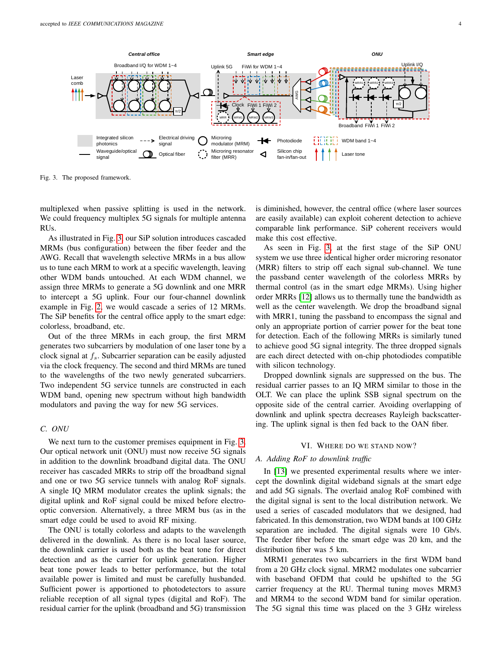

<span id="page-3-0"></span>Fig. 3. The proposed framework.

multiplexed when passive splitting is used in the network. We could frequency multiplex 5G signals for multiple antenna RUs.

As illustrated in Fig. [3,](#page-3-0) our SiP solution introduces cascaded MRMs (bus configuration) between the fiber feeder and the AWG. Recall that wavelength selective MRMs in a bus allow us to tune each MRM to work at a specific wavelength, leaving other WDM bands untouched. At each WDM channel, we assign three MRMs to generate a 5G downlink and one MRR to intercept a 5G uplink. Four our four-channel downlink example in Fig. [2,](#page-2-0) we would cascade a series of 12 MRMs. The SiP benefits for the central office apply to the smart edge: colorless, broadband, etc.

Out of the three MRMs in each group, the first MRM generates two subcarriers by modulation of one laser tone by a clock signal at  $f_s$ . Subcarrier separation can be easily adjusted via the clock frequency. The second and third MRMs are tuned to the wavelengths of the two newly generated subcarriers. Two independent 5G service tunnels are constructed in each WDM band, opening new spectrum without high bandwidth modulators and paving the way for new 5G services.

## *C. ONU*

We next turn to the customer premises equipment in Fig. [3.](#page-3-0) Our optical network unit (ONU) must now receive 5G signals in addition to the downlink broadband digital data. The ONU receiver has cascaded MRRs to strip off the broadband signal and one or two 5G service tunnels with analog RoF signals. A single IQ MRM modulator creates the uplink signals; the digital uplink and RoF signal could be mixed before electrooptic conversion. Alternatively, a three MRM bus (as in the smart edge could be used to avoid RF mixing.

The ONU is totally colorless and adapts to the wavelength delivered in the downlink. As there is no local laser source, the downlink carrier is used both as the beat tone for direct detection and as the carrier for uplink generation. Higher beat tone power leads to better performance, but the total available power is limited and must be carefully husbanded. Sufficient power is apportioned to photodetectors to assure reliable reception of all signal types (digital and RoF). The residual carrier for the uplink (broadband and 5G) transmission is diminished, however, the central office (where laser sources are easily available) can exploit coherent detection to achieve comparable link performance. SiP coherent receivers would make this cost effective.

As seen in Fig. [3,](#page-3-0) at the first stage of the SiP ONU system we use three identical higher order microring resonator (MRR) filters to strip off each signal sub-channel. We tune the passband center wavelength of the colorless MRRs by thermal control (as in the smart edge MRMs). Using higher order MRRs [\[12\]](#page-5-11) allows us to thermally tune the bandwidth as well as the center wavelength. We drop the broadband signal with MRR1, tuning the passband to encompass the signal and only an appropriate portion of carrier power for the beat tone for detection. Each of the following MRRs is similarly tuned to achieve good 5G signal integrity. The three dropped signals are each direct detected with on-chip photodiodes compatible with silicon technology.

Dropped downlink signals are suppressed on the bus. The residual carrier passes to an IQ MRM similar to those in the OLT. We can place the uplink SSB signal spectrum on the opposite side of the central carrier. Avoiding overlapping of downlink and uplink spectra decreases Rayleigh backscattering. The uplink signal is then fed back to the OAN fiber.

### VI. WHERE DO WE STAND NOW?

# *A. Adding RoF to downlink traffic*

In [\[13\]](#page-5-12) we presented experimental results where we intercept the downlink digital wideband signals at the smart edge and add 5G signals. The overlaid analog RoF combined with the digital signal is sent to the local distribution network. We used a series of cascaded modulators that we designed, had fabricated. In this demonstration, two WDM bands at 100 GHz separation are included. The digital signals were 10 Gb/s. The feeder fiber before the smart edge was 20 km, and the distribution fiber was 5 km.

MRM1 generates two subcarriers in the first WDM band from a 20 GHz clock signal. MRM2 modulates one subcarrier with baseband OFDM that could be upshifted to the 5G carrier frequency at the RU. Thermal tuning moves MRM3 and MRM4 to the second WDM band for similar operation. The 5G signal this time was placed on the 3 GHz wireless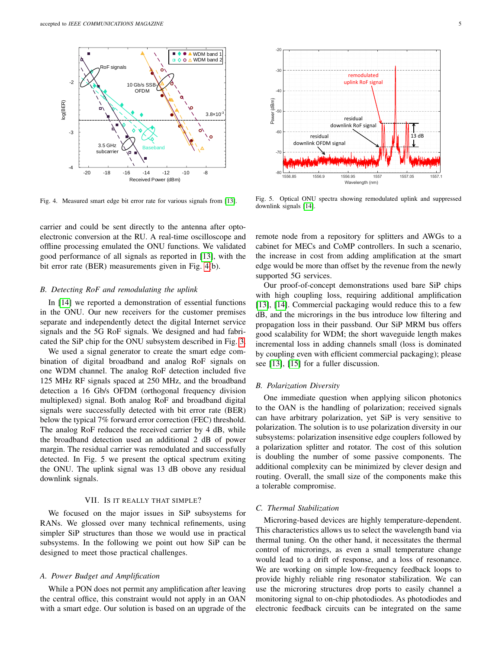

<span id="page-4-0"></span>Fig. 4. Measured smart edge bit error rate for various signals from [\[13\]](#page-5-12).

carrier and could be sent directly to the antenna after optoelectronic conversion at the RU. A real-time oscilloscope and offline processing emulated the ONU functions. We validated good performance of all signals as reported in [\[13\]](#page-5-12), with the bit error rate (BER) measurements given in Fig. [4\(](#page-4-0)b).

## *B. Detecting RoF and remodulating the uplink*

In [\[14\]](#page-5-13) we reported a demonstration of essential functions in the ONU. Our new receivers for the customer premises separate and independently detect the digital Internet service signals and the 5G RoF signals. We designed and had fabricated the SiP chip for the ONU subsystem described in Fig. [3.](#page-3-0)

We used a signal generator to create the smart edge combination of digital broadband and analog RoF signals on one WDM channel. The analog RoF detection included five 125 MHz RF signals spaced at 250 MHz, and the broadband detection a 16 Gb/s OFDM (orthogonal frequency division multiplexed) signal. Both analog RoF and broadband digital signals were successfully detected with bit error rate (BER) below the typical 7% forward error correction (FEC) threshold. The analog RoF reduced the received carrier by 4 dB, while the broadband detection used an additional 2 dB of power margin. The residual carrier was remodulated and successfully detected. In Fig. 5 we present the optical spectrum exiting the ONU. The uplink signal was 13 dB obove any residual downlink signals.

## VII. IS IT REALLY THAT SIMPLE?

We focused on the major issues in SiP subsystems for RANs. We glossed over many technical refinements, using simpler SiP structures than those we would use in practical subsystems. In the following we point out how SiP can be designed to meet those practical challenges.

# *A. Power Budget and Amplification*

While a PON does not permit any amplification after leaving the central office, this constraint would not apply in an OAN with a smart edge. Our solution is based on an upgrade of the



Fig. 5. Optical ONU spectra showing remodulated uplink and suppressed downlink signals [\[14\]](#page-5-13).

remote node from a repository for splitters and AWGs to a cabinet for MECs and CoMP controllers. In such a scenario, the increase in cost from adding amplification at the smart edge would be more than offset by the revenue from the newly supported 5G services.

Our proof-of-concept demonstrations used bare SiP chips with high coupling loss, requiring additional amplification [\[13\]](#page-5-12), [\[14\]](#page-5-13). Commercial packaging would reduce this to a few dB, and the microrings in the bus introduce low filtering and propagation loss in their passband. Our SiP MRM bus offers good scalability for WDM; the short waveguide length makes incremental loss in adding channels small (loss is dominated by coupling even with efficient commercial packaging); please see [\[13\]](#page-5-12), [\[15\]](#page-5-14) for a fuller discussion.

## *B. Polarization Diversity*

One immediate question when applying silicon photonics to the OAN is the handling of polarization; received signals can have arbitrary polarization, yet SiP is very sensitive to polarization. The solution is to use polarization diversity in our subsystems: polarization insensitive edge couplers followed by a polarization splitter and rotator. The cost of this solution is doubling the number of some passive components. The additional complexity can be minimized by clever design and routing. Overall, the small size of the components make this a tolerable compromise.

# *C. Thermal Stabilization*

Microring-based devices are highly temperature-dependent. This characteristics allows us to select the wavelength band via thermal tuning. On the other hand, it necessitates the thermal control of microrings, as even a small temperature change would lead to a drift of response, and a loss of resonance. We are working on simple low-frequency feedback loops to provide highly reliable ring resonator stabilization. We can use the microring structures drop ports to easily channel a monitoring signal to on-chip photodiodes. As photodiodes and electronic feedback circuits can be integrated on the same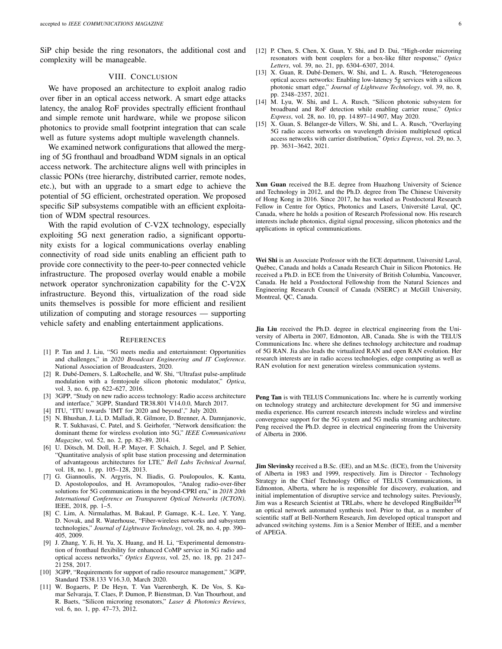SiP chip beside the ring resonators, the additional cost and complexity will be manageable.

# VIII. CONCLUSION

We have proposed an architecture to exploit analog radio over fiber in an optical access network. A smart edge attacks latency, the analog RoF provides spectrally efficient fronthaul and simple remote unit hardware, while we propose silicon photonics to provide small footprint integration that can scale well as future systems adopt multiple wavelength channels.

We examined network configurations that allowed the merging of 5G fronthaul and broadband WDM signals in an optical access network. The architecture aligns well with principles in classic PONs (tree hierarchy, distributed carrier, remote nodes, etc.), but with an upgrade to a smart edge to achieve the potential of 5G efficient, orchestrated operation. We proposed specific SiP subsystems compatible with an efficient exploitation of WDM spectral resources.

With the rapid evolution of C-V2X technology, especially exploiting 5G next generation radio, a significant opportunity exists for a logical communications overlay enabling connectivity of road side units enabling an efficient path to provide core connectivity to the peer-to-peer connected vehicle infrastructure. The proposed overlay would enable a mobile network operator synchronization capability for the C-V2X infrastructure. Beyond this, virtualization of the road side units themselves is possible for more efficient and resilient utilization of computing and storage resources — supporting vehicle safety and enabling entertainment applications.

#### **REFERENCES**

- <span id="page-5-0"></span>[1] P. Tan and J. Liu, "5G meets media and entertainment: Opportunities and challenges," in *2020 Broadcast Engineering and IT Conference*. National Association of Broadcasters, 2020.
- <span id="page-5-1"></span>[2] R. Dubé-Demers, S. LaRochelle, and W. Shi, "Ultrafast pulse-amplitude modulation with a femtojoule silicon photonic modulator," *Optica*, vol. 3, no. 6, pp. 622–627, 2016.
- <span id="page-5-2"></span>[3] 3GPP, "Study on new radio access technology: Radio access architecture and interface," 3GPP, Standard TR38.801 V14.0.0, March 2017.
- <span id="page-5-3"></span>[4] ITU, "ITU towards 'IMT for 2020 and beyond'," July 2020.
- <span id="page-5-4"></span>[5] N. Bhushan, J. Li, D. Malladi, R. Gilmore, D. Brenner, A. Damnjanovic, R. T. Sukhavasi, C. Patel, and S. Geirhofer, "Network densification: the dominant theme for wireless evolution into 5G," *IEEE Communications Magazine*, vol. 52, no. 2, pp. 82–89, 2014.
- <span id="page-5-5"></span>[6] U. Dötsch, M. Doll, H.-P. Mayer, F. Schaich, J. Segel, and P. Sehier, "Quantitative analysis of split base station processing and determination of advantageous architectures for LTE," *Bell Labs Technical Journal*, vol. 18, no. 1, pp. 105–128, 2013.
- <span id="page-5-6"></span>[7] G. Giannoulis, N. Argyris, N. Iliadis, G. Poulopoulos, K. Kanta, D. Apostolopoulos, and H. Avramopoulos, "Analog radio-over-fiber solutions for 5G communications in the beyond-CPRI era," in *2018 20th International Conference on Transparent Optical Networks (ICTON)*. IEEE, 2018, pp. 1–5.
- <span id="page-5-7"></span>[8] C. Lim, A. Nirmalathas, M. Bakaul, P. Gamage, K.-L. Lee, Y. Yang, D. Novak, and R. Waterhouse, "Fiber-wireless networks and subsystem technologies," *Journal of Lightwave Technology*, vol. 28, no. 4, pp. 390– 405, 2009.
- <span id="page-5-8"></span>[9] J. Zhang, Y. Ji, H. Yu, X. Huang, and H. Li, "Experimental demonstration of fronthaul flexibility for enhanced CoMP service in 5G radio and optical access networks," *Optics Express*, vol. 25, no. 18, pp. 21 247– 21 258, 2017.
- <span id="page-5-9"></span>[10] 3GPP, "Requirements for support of radio resource management," 3GPP, Standard TS38.133 V16.3.0, March 2020.
- <span id="page-5-10"></span>[11] W. Bogaerts, P. De Heyn, T. Van Vaerenbergh, K. De Vos, S. Kumar Selvaraja, T. Claes, P. Dumon, P. Bienstman, D. Van Thourhout, and R. Baets, "Silicon microring resonators," *Laser & Photonics Reviews*, vol. 6, no. 1, pp. 47–73, 2012.
- <span id="page-5-11"></span>[12] P. Chen, S. Chen, X. Guan, Y. Shi, and D. Dai, "High-order microring resonators with bent couplers for a box-like filter response," *Optics Letters*, vol. 39, no. 21, pp. 6304–6307, 2014.
- <span id="page-5-12"></span>[13] X. Guan, R. Dubé-Demers, W. Shi, and L. A. Rusch, "Heterogeneous optical access networks: Enabling low-latency 5g services with a silicon photonic smart edge," *Journal of Lightwave Technology*, vol. 39, no. 8, pp. 2348–2357, 2021.
- <span id="page-5-13"></span>[14] M. Lyu, W. Shi, and L. A. Rusch, "Silicon photonic subsystem for broadband and RoF detection while enabling carrier reuse," *Optics Express*, vol. 28, no. 10, pp. 14 897–14 907, May 2020.
- <span id="page-5-14"></span>[15] X. Guan, S. Bélanger-de Villers, W. Shi, and L. A. Rusch, "Overlaying 5G radio access networks on wavelength division multiplexed optical access networks with carrier distribution," *Optics Express*, vol. 29, no. 3, pp. 3631–3642, 2021.

Xun Guan received the B.E. degree from Huazhong University of Science and Technology in 2012, and the Ph.D. degree from The Chinese University of Hong Kong in 2016. Since 2017, he has worked as Postdoctoral Research Fellow in Centre for Optics, Photonics and Lasers, Université Laval, QC, Canada, where he holds a position of Research Professional now. His research interests include photonics, digital signal processing, silicon photonics and the applications in optical communications.

Wei Shi is an Associate Professor with the ECE department, Université Laval, Quebec, Canada and holds a Canada Research Chair in Silicon Photonics. He ´ received a Ph.D. in ECE from the University of British Columbia, Vancouver, Canada. He held a Postdoctoral Fellowship from the Natural Sciences and Engineering Research Council of Canada (NSERC) at McGill University, Montreal, QC, Canada.

Jia Liu received the Ph.D. degree in electrical engineering from the University of Alberta in 2007, Edmonton, AB, Canada. She is with the TELUS Communications Inc. where she defines technology architecture and roadmap of 5G RAN. Jia also leads the virtualized RAN and open RAN evolution. Her research interests are in radio access technologies, edge computing as well as RAN evolution for next generation wireless communication systems.

Peng Tan is with TELUS Communications Inc. where he is currently working on technology strategy and architecture development for 5G and immersive media experience. His current research interests include wireless and wireline convergence support for the 5G system and 5G media streaming architecture. Peng received the Ph.D. degree in electrical engineering from the University of Alberta in 2006.

Jim Slevinsky received a B.Sc. (EE), and an M.Sc. (ECE), from the University of Alberta in 1983 and 1999, respectively. Jim is Director - Technology Strategy in the Chief Technology Office of TELUS Communications, in Edmonton, Alberta, where he is responsible for discovery, evaluation, and initial implementation of disruptive service and technology suites. Previously,<br>Jim was a Research Scientist at TRLabs, where he developed RingBuilder<sup>TM</sup> an optical network automated synthesis tool. Prior to that, as a member of scientific staff at Bell-Northern Research, Jim developed optical transport and advanced switching systems. Jim is a Senior Member of IEEE, and a member of APEGA.